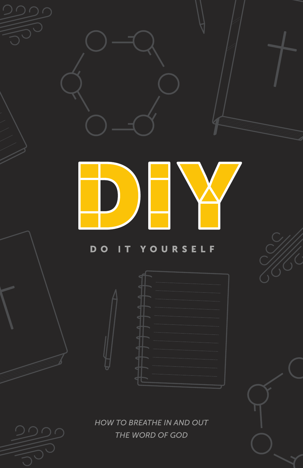

*THE WORD OF GOD*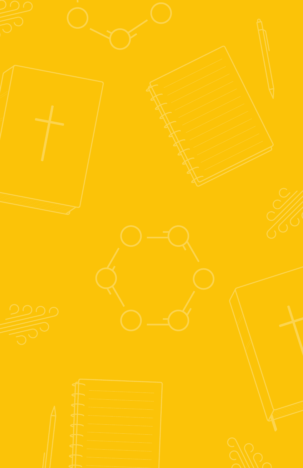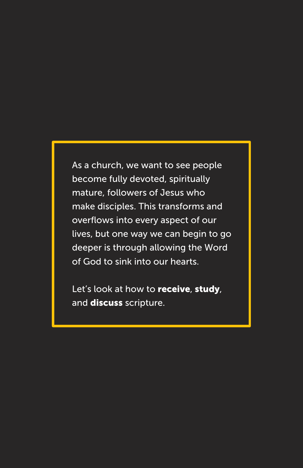As a church, we want to see people become fully devoted, spiritually mature, followers of Jesus who make disciples. This transforms and overflows into every aspect of our lives, but one way we can begin to go deeper is through allowing the Word of God to sink into our hearts.

Let's look at how to receive, study, and discuss scripture.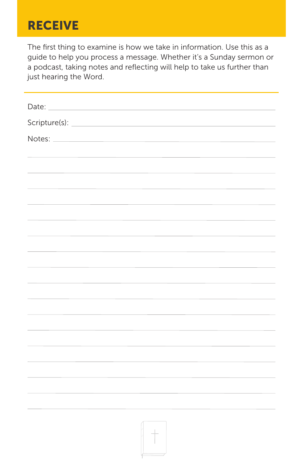### **RECEIVE**

The first thing to examine is how we take in information. Use this as a guide to help you process a message. Whether it's a Sunday sermon or a podcast, taking notes and reflecting will help to take us further than just hearing the Word.

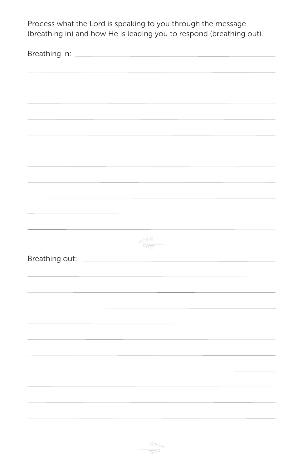|  |  | $\frac{1}{\sqrt{\frac{1}{1-\frac{1}{1-\frac{1}{1-\frac{1}{1-\frac{1}{1-\frac{1}{1-\frac{1}{1-\frac{1}{1-\frac{1}{1-\frac{1}{1-\frac{1}{1-\frac{1}{1-\frac{1}{1-\frac{1}{1-\frac{1}{1-\frac{1}{1-\frac{1}{1-\frac{1}{1-\frac{1}{1-\frac{1}{1-\frac{1}{1-\frac{1}{1-\frac{1}{1-\frac{1}{1-\frac{1}{1-\frac{1}{1-\frac{1}{1-\frac{1}{1-\frac{1}{1-\frac{1}{1-\frac{1}{1-\frac{1}{1-\frac{1}{1-\frac{1}{1-\frac{1}{1-\frac{$ |  |  |  |
|--|--|--------------------------------------------------------------------------------------------------------------------------------------------------------------------------------------------------------------------------------------------------------------------------------------------------------------------------------------------------------------------------------------------------------------------------|--|--|--|
|  |  |                                                                                                                                                                                                                                                                                                                                                                                                                          |  |  |  |
|  |  |                                                                                                                                                                                                                                                                                                                                                                                                                          |  |  |  |
|  |  |                                                                                                                                                                                                                                                                                                                                                                                                                          |  |  |  |
|  |  |                                                                                                                                                                                                                                                                                                                                                                                                                          |  |  |  |
|  |  |                                                                                                                                                                                                                                                                                                                                                                                                                          |  |  |  |
|  |  |                                                                                                                                                                                                                                                                                                                                                                                                                          |  |  |  |
|  |  |                                                                                                                                                                                                                                                                                                                                                                                                                          |  |  |  |
|  |  |                                                                                                                                                                                                                                                                                                                                                                                                                          |  |  |  |
|  |  |                                                                                                                                                                                                                                                                                                                                                                                                                          |  |  |  |
|  |  |                                                                                                                                                                                                                                                                                                                                                                                                                          |  |  |  |
|  |  |                                                                                                                                                                                                                                                                                                                                                                                                                          |  |  |  |
|  |  |                                                                                                                                                                                                                                                                                                                                                                                                                          |  |  |  |
|  |  |                                                                                                                                                                                                                                                                                                                                                                                                                          |  |  |  |
|  |  |                                                                                                                                                                                                                                                                                                                                                                                                                          |  |  |  |
|  |  |                                                                                                                                                                                                                                                                                                                                                                                                                          |  |  |  |
|  |  |                                                                                                                                                                                                                                                                                                                                                                                                                          |  |  |  |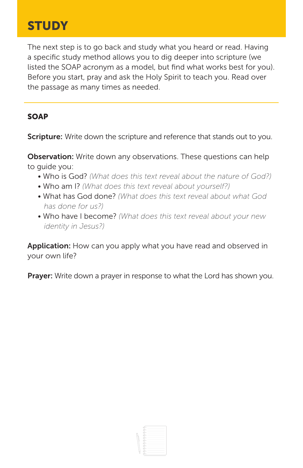# **STUDY**

The next step is to go back and study what you heard or read. Having a specific study method allows you to dig deeper into scripture (we listed the SOAP acronym as a model, but find what works best for you). Before you start, pray and ask the Holy Spirit to teach you. Read over the passage as many times as needed.

#### SOAP

Scripture: Write down the scripture and reference that stands out to you.

**Observation:** Write down any observations. These questions can help to guide you:

- Who is God? *(What does this text reveal about the nature of God?)*
- Who am I? *(What does this text reveal about yourself?)*
- What has God done? *(What does this text reveal about what God has done for us?)*
- Who have I become? *(What does this text reveal about your new identity in Jesus?)*

Application: How can you apply what you have read and observed in your own life?

**Prayer:** Write down a prayer in response to what the Lord has shown you.

| í.                |          |
|-------------------|----------|
| _______<br>ś<br>÷ |          |
| $\sim$            |          |
| ×,                | ________ |
| í                 |          |
| ÷<br>÷            |          |
| i                 |          |
| í,                |          |
| s.                |          |
| ×.<br>.,          |          |
|                   |          |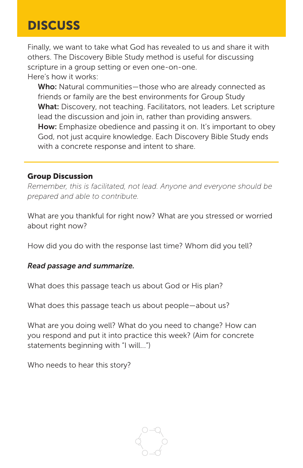## **DISCUSS**

Finally, we want to take what God has revealed to us and share it with others. The Discovery Bible Study method is useful for discussing scripture in a group setting or even one-on-one. Here's how it works:

Who: Natural communities—those who are already connected as friends or family are the best environments for Group Study What: Discovery, not teaching. Facilitators, not leaders. Let scripture lead the discussion and join in, rather than providing answers. How: Emphasize obedience and passing it on. It's important to obey God, not just acquire knowledge. Each Discovery Bible Study ends with a concrete response and intent to share.

#### Group Discussion

*Remember, this is facilitated, not lead. Anyone and everyone should be prepared and able to contribute.*

What are you thankful for right now? What are you stressed or worried about right now?

How did you do with the response last time? Whom did you tell?

#### *Read passage and summarize.*

What does this passage teach us about God or His plan?

What does this passage teach us about people—about us?

What are you doing well? What do you need to change? How can you respond and put it into practice this week? (Aim for concrete statements beginning with "I will...")

Who needs to hear this story?